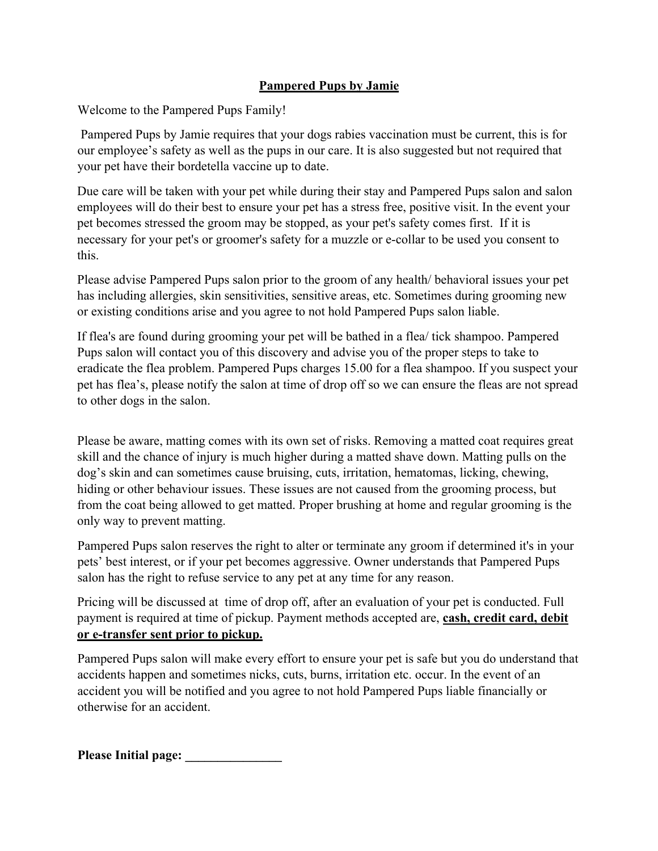## **Pampered Pups by Jamie**

Welcome to the Pampered Pups Family!

Pampered Pups by Jamie requires that your dogs rabies vaccination must be current, this is for our employee's safety as well as the pups in our care. It is also suggested but not required that your pet have their bordetella vaccine up to date.

Due care will be taken with your pet while during their stay and Pampered Pups salon and salon employees will do their best to ensure your pet has a stress free, positive visit. In the event your pet becomes stressed the groom may be stopped, as your pet's safety comes first. If it is necessary for your pet's or groomer's safety for a muzzle or e-collar to be used you consent to this.

Please advise Pampered Pups salon prior to the groom of any health/ behavioral issues your pet has including allergies, skin sensitivities, sensitive areas, etc. Sometimes during grooming new or existing conditions arise and you agree to not hold Pampered Pups salon liable.

If flea's are found during grooming your pet will be bathed in a flea/ tick shampoo. Pampered Pups salon will contact you of this discovery and advise you of the proper steps to take to eradicate the flea problem. Pampered Pups charges 15.00 for a flea shampoo. If you suspect your pet has flea's, please notify the salon at time of drop off so we can ensure the fleas are not spread to other dogs in the salon.

Please be aware, matting comes with its own set of risks. Removing a matted coat requires great skill and the chance of injury is much higher during a matted shave down. Matting pulls on the dog's skin and can sometimes cause bruising, cuts, irritation, hematomas, licking, chewing, hiding or other behaviour issues. These issues are not caused from the grooming process, but from the coat being allowed to get matted. Proper brushing at home and regular grooming is the only way to prevent matting.

Pampered Pups salon reserves the right to alter or terminate any groom if determined it's in your pets' best interest, or if your pet becomes aggressive. Owner understands that Pampered Pups salon has the right to refuse service to any pet at any time for any reason.

Pricing will be discussed at time of drop off, after an evaluation of your pet is conducted. Full payment is required at time of pickup. Payment methods accepted are, **cash, credit card, debit or e-transfer sent prior to pickup.** 

Pampered Pups salon will make every effort to ensure your pet is safe but you do understand that accidents happen and sometimes nicks, cuts, burns, irritation etc. occur. In the event of an accident you will be notified and you agree to not hold Pampered Pups liable financially or otherwise for an accident.

Please Initial page: **\_\_\_\_\_\_\_\_\_**